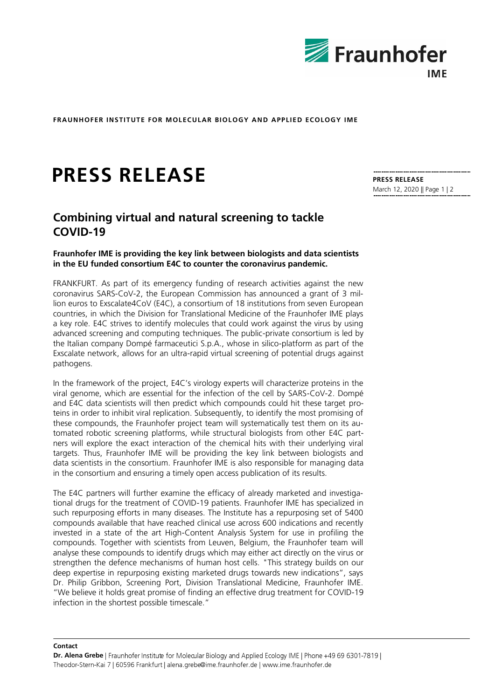

**FRAUNHOFER INSTITUTE FOR MOLECULAR BIOLOGY AND APPLIED ECOLOGY IME**

# **PRESS RELEASE**

## **Combining virtual and natural screening to tackle COVID-19**

### **Fraunhofer IME is providing the key link between biologists and data scientists in the EU funded consortium E4C to counter the coronavirus pandemic.**

FRANKFURT. As part of its emergency funding of research activities against the new coronavirus SARS-CoV-2, the European Commission has announced a grant of 3 million euros to Exscalate4CoV (E4C), a consortium of 18 institutions from seven European countries, in which the Division for Translational Medicine of the Fraunhofer IME plays a key role. E4C strives to identify molecules that could work against the virus by using advanced screening and computing techniques. The public-private consortium is led by the Italian company Dompé farmaceutici S.p.A., whose in silico-platform as part of the Exscalate network, allows for an ultra-rapid virtual screening of potential drugs against pathogens.

In the framework of the project, E4C's virology experts will characterize proteins in the viral genome, which are essential for the infection of the cell by SARS-CoV-2. Dompé and E4C data scientists will then predict which compounds could hit these target proteins in order to inhibit viral replication. Subsequently, to identify the most promising of these compounds, the Fraunhofer project team will systematically test them on its automated robotic screening platforms, while structural biologists from other E4C partners will explore the exact interaction of the chemical hits with their underlying viral targets. Thus, Fraunhofer IME will be providing the key link between biologists and data scientists in the consortium. Fraunhofer IME is also responsible for managing data in the consortium and ensuring a timely open access publication of its results.

The E4C partners will further examine the efficacy of already marketed and investigational drugs for the treatment of COVID-19 patients. Fraunhofer IME has specialized in such repurposing efforts in many diseases. The Institute has a repurposing set of 5400 compounds available that have reached clinical use across 600 indications and recently invested in a state of the art High-Content Analysis System for use in profiling the compounds. Together with scientists from Leuven, Belgium, the Fraunhofer team will analyse these compounds to identify drugs which may either act directly on the virus or strengthen the defence mechanisms of human host cells. "This strategy builds on our deep expertise in repurposing existing marketed drugs towards new indications", says Dr. Philip Gribbon, Screening Port, Division Translational Medicine, Fraunhofer IME. "We believe it holds great promise of finding an effective drug treatment for COVID-19 infection in the shortest possible timescale."

**PRESS RELEASE** March 12, 2020 || Page 1 | 2

#### **Contact**

**Dr. Alena Grebe** | Fraunhofer Institute for Molecular Biology and Applied Ecology IME | Phone +49 69 6301-7819 | Theodor-Stern-Kai 7 | 60596 Frankfurt | alena.grebe@ime.fraunhofer.de | www.ime.fraunhofer.de